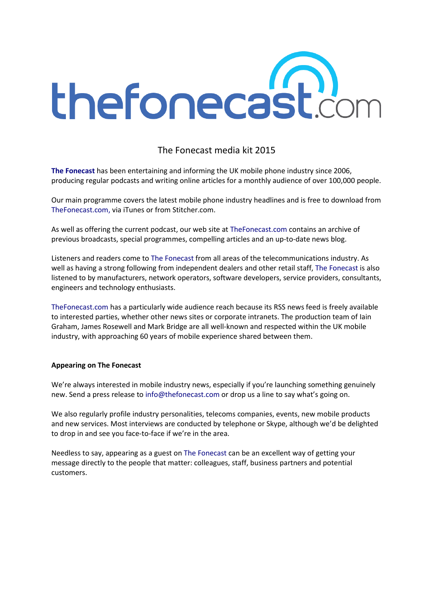

# The Fonecast media kit 2015

The Fonecast has been entertaining and informing the UK mobile phone industry since 2006, producing regular podcasts and writing online articles for a monthly audience of over 100,000 people.

Our main programme covers the latest mobile phone industry headlines and is free to download from TheFonecast.com, via iTunes or from Stitcher.com.

As well as offering the current podcast, our web site at TheFonecast.com contains an archive of previous broadcasts, special programmes, compelling articles and an up-to-date news blog.

Listeners and readers come to The Fonecast from all areas of the telecommunications industry. As well as having a strong following from independent dealers and other retail staff, The Fonecast is also listened to by manufacturers, network operators, software developers, service providers, consultants, engineers and technology enthusiasts.

TheFonecast.com has a particularly wide audience reach because its RSS news feed is freely available to interested parties, whether other news sites or corporate intranets. The production team of Iain Graham, James Rosewell and Mark Bridge are all well-known and respected within the UK mobile industry, with approaching 60 years of mobile experience shared between them.

#### Appearing on The Fonecast

We're always interested in mobile industry news, especially if you're launching something genuinely new. Send a press release to info@thefonecast.com or drop us a line to say what's going on.

We also regularly profile industry personalities, telecoms companies, events, new mobile products and new services. Most interviews are conducted by telephone or Skype, although we'd be delighted to drop in and see you face-to-face if we're in the area.

Needless to say, appearing as a guest on The Fonecast can be an excellent way of getting your message directly to the people that matter: colleagues, staff, business partners and potential customers.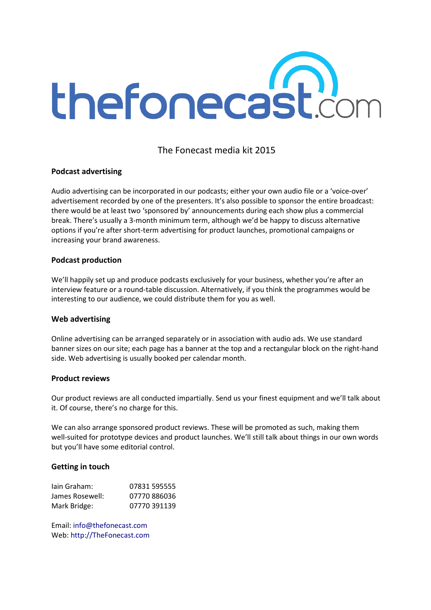

### The Fonecast media kit 2015

#### Podcast advertising

Audio advertising can be incorporated in our podcasts; either your own audio file or a 'voice-over' advertisement recorded by one of the presenters. It's also possible to sponsor the entire broadcast: there would be at least two 'sponsored by' announcements during each show plus a commercial break. There's usually a 3-month minimum term, although we'd be happy to discuss alternative options if you're after short-term advertising for product launches, promotional campaigns or increasing your brand awareness.

#### Podcast production

We'll happily set up and produce podcasts exclusively for your business, whether you're after an interview feature or a round-table discussion. Alternatively, if you think the programmes would be interesting to our audience, we could distribute them for you as well.

#### Web advertising

Online advertising can be arranged separately or in association with audio ads. We use standard banner sizes on our site; each page has a banner at the top and a rectangular block on the right-hand side. Web advertising is usually booked per calendar month.

#### Product reviews

Our product reviews are all conducted impartially. Send us your finest equipment and we'll talk about it. Of course, there's no charge for this.

We can also arrange sponsored product reviews. These will be promoted as such, making them well-suited for prototype devices and product launches. We'll still talk about things in our own words but you'll have some editorial control.

#### Getting in touch

| lain Graham:    | 07831 595555 |
|-----------------|--------------|
| James Rosewell: | 07770886036  |
| Mark Bridge:    | 07770 391139 |

Email: info@thefonecast.com Web: http://TheFonecast.com